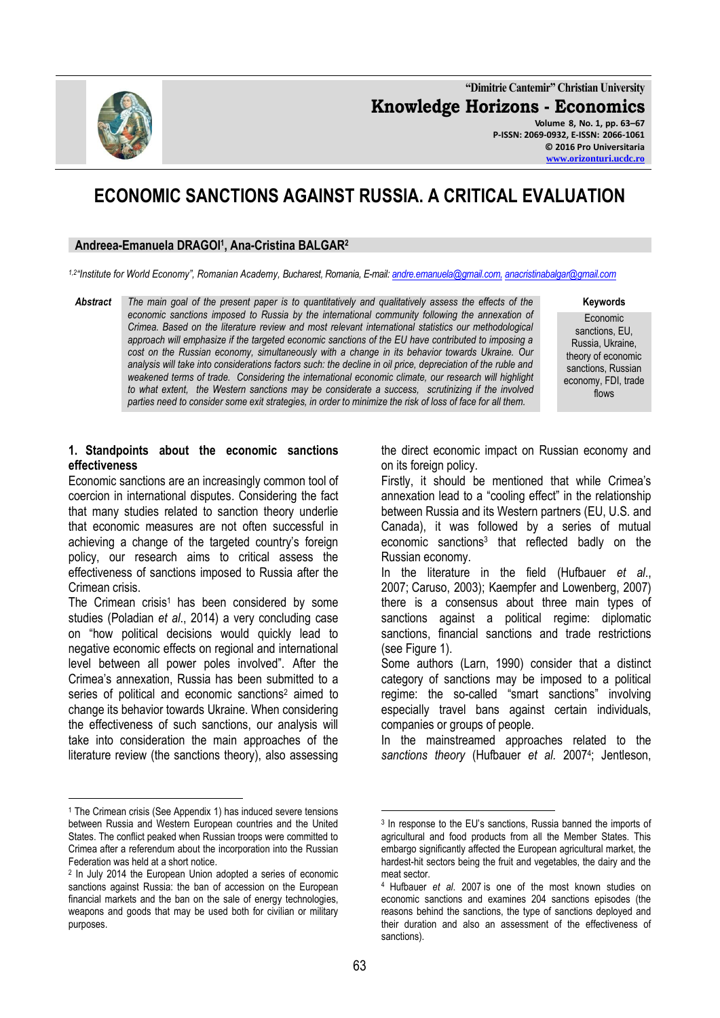

**"Dimitrie Cantemir" Christian University Knowledge Horizons - Economics Volume 8, No. 1, pp. 63–67 P-ISSN: 2069-0932, E-ISSN: 2066-1061**

**© 2016 Pro Universitaria [www.orizonturi.ucdc.ro](http://www.orizonturi.ucdc.ro/)**

# **ECONOMIC SANCTIONS AGAINST RUSSIA. A CRITICAL EVALUATION**

#### **Andreea-Emanuela DRAGOI<sup>1</sup> , Ana-Cristina BALGAR<sup>2</sup>**

*1,2"Institute for World Economy", Romanian Academy, Bucharest, Romania, E-mail[: andre.emanuela@gmail.com,](mailto:andre.emanuela@gmail.com) [anacristinabalgar@gmail.com](mailto:anacristinabalgar@gmail.com)*

*Abstract The main goal of the present paper is to quantitatively and qualitatively assess the effects of the economic sanctions imposed to Russia by the international community following the annexation of Crimea. Based on the literature review and most relevant international statistics our methodological approach will emphasize if the targeted economic sanctions of the EU have contributed to imposing a cost on the Russian economy, simultaneously with a change in its behavior towards Ukraine. Our analysis will take into considerations factors such: the decline in oil price, depreciation of the ruble and weakened terms of trade. Considering the international economic climate, our research will highlight to what extent, the Western sanctions may be considerate a success, scrutinizing if the involved parties need to consider some exit strategies, in order to minimize the risk of loss of face for all them.*

**Keywords**

Economic sanctions, EU, Russia, Ukraine, theory of economic sanctions, Russian economy, FDI, trade flows

#### **1. Standpoints about the economic sanctions effectiveness**

Economic sanctions are an increasingly common tool of coercion in international disputes. Considering the fact that many studies related to sanction theory underlie that economic measures are not often successful in achieving a change of the targeted country's foreign policy, our research aims to critical assess the effectiveness of sanctions imposed to Russia after the Crimean crisis.

The Crimean crisis<sup>1</sup> has been considered by some studies (Poladian *et al*., 2014) a very concluding case on "how political decisions would quickly lead to negative economic effects on regional and international level between all power poles involved". After the Crimea's annexation, Russia has been submitted to a series of political and economic sanctions<sup>2</sup> aimed to change its behavior towards Ukraine. When considering the effectiveness of such sanctions, our analysis will take into consideration the main approaches of the literature review (the sanctions theory), also assessing

<sup>1</sup> The Crimean crisis (See Appendix 1) has induced severe tensions between Russia and Western European countries and the United States. The conflict peaked when Russian troops were committed to Crimea after a referendum about the incorporation into the Russian Federation was held at a short notice.

<u>.</u>

the direct economic impact on Russian economy and on its foreign policy.

Firstly, it should be mentioned that while Crimea's annexation lead to a "cooling effect" in the relationship between Russia and its Western partners (EU, U.S. and Canada), it was followed by a series of mutual economic sanctions<sup>3</sup> that reflected badly on the Russian economy.

In the literature in the field (Hufbauer *et al*., 2007; [Caruso, 2003\);](http://ideas.repec.org/p/wpa/wuwpit/0306001.html) Kaempfer and Lowenberg, 2007) there is a consensus about three main types of sanctions against a political regime: diplomatic sanctions, financial sanctions and trade restrictions (see Figure 1).

Some authors (Larn, 1990) consider that a distinct category of sanctions may be imposed to a political regime: the so-called "smart sanctions" involving especially travel bans against certain individuals, companies or groups of people.

In the mainstreamed approaches related to the *sanctions theory* (Hufbauer *et al.* 2007<sup>4</sup> ; Jentleson,

-

<sup>2</sup> In July 2014 the European Union adopted a series of economic sanctions against Russia: the ban of accession on the European financial markets and the ban on the sale of energy technologies, weapons and goods that may be used both for civilian or military purposes.

<sup>3</sup> In response to the EU's sanctions, Russia banned the imports of agricultural and food products from all the Member States. This embargo significantly affected the European agricultural market, the hardest-hit sectors being the fruit and vegetables, the dairy and the meat sector.

<sup>4</sup> [Hufbauer](http://www.oxfordbibliographies.com/view/document/obo-9780199743292/obo-9780199743292-0030.xml#obo-9780199743292-0030-bibItem-0001) *et al*. 2007 is one of the most known studies on economic sanctions and examines 204 sanctions episodes (the reasons behind the sanctions, the type of sanctions deployed and their duration and also an assessment of the effectiveness of sanctions).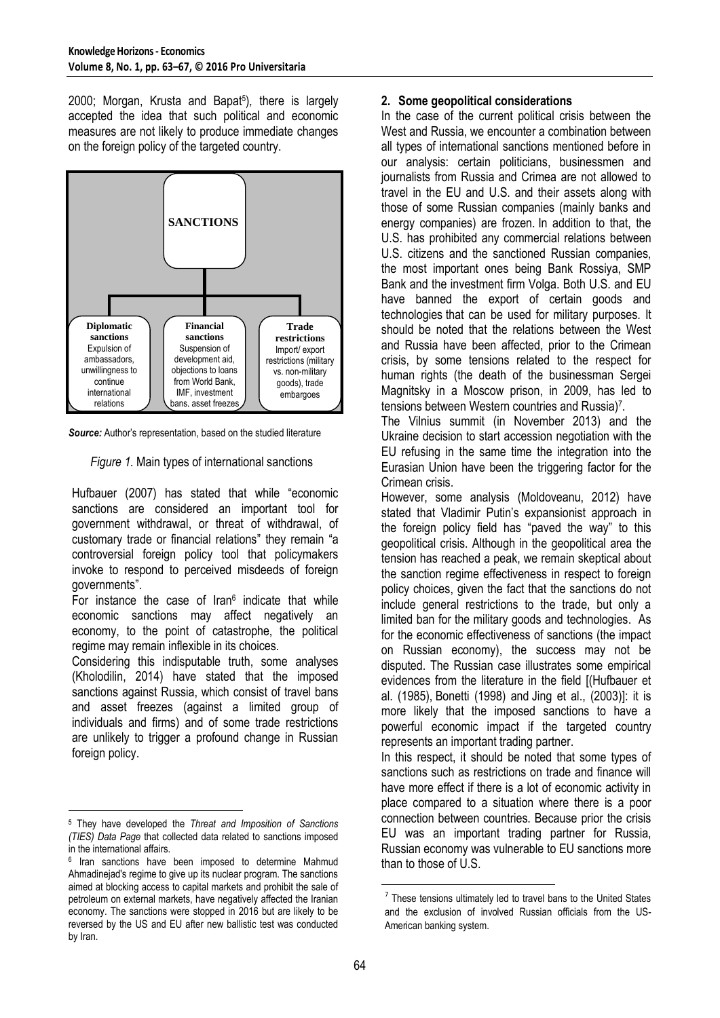2000; Morgan, Krusta and Bapat<sup>5</sup> )*,* there is largely accepted the idea that such political and economic measures are not likely to produce immediate changes on the foreign policy of the targeted country.



*Source:* Author's representation, based on the studied literature

*Figure 1.* Main types of international sanctions

Hufbauer (2007) has stated that while "economic sanctions are considered an important tool for government withdrawal, or threat of withdrawal, of customary trade or financial relations" they remain "a controversial foreign policy tool that policymakers invoke to respond to perceived misdeeds of foreign governments".

For instance the case of Iran $6$  indicate that while economic sanctions may affect negatively an economy, to the point of catastrophe, the political regime may remain inflexible in its choices.

Considering this indisputable truth, some analyses (Kholodilin, 2014) have stated that the imposed sanctions against Russia, which consist of travel bans and asset freezes (against a limited group of individuals and firms) and of some trade restrictions are unlikely to trigger a profound change in Russian foreign policy.

### **2. Some geopolitical considerations**

In the case of the current political crisis between the West and Russia, we encounter a combination between all types of international sanctions mentioned before in our analysis: certain politicians, businessmen and journalists from Russia and Crimea are not allowed to travel in the EU and U.S. and their assets along with those of some Russian companies (mainly banks and energy companies) are frozen. In addition to that, the U.S. has prohibited any commercial relations between U.S. citizens and the sanctioned Russian companies, the most important ones being Bank Rossiya, SMP Bank and the investment firm Volga. Both U.S. and EU have banned the export of certain goods and technologies that can be used for military purposes. It should be noted that the relations between the West and Russia have been affected, prior to the Crimean crisis, by some tensions related to the respect for human rights (the death of the businessman Sergei Magnitsky in a Moscow prison, in 2009, has led to tensions between Western countries and Russia)<sup>7</sup> .

The Vilnius summit (in November 2013) and the Ukraine decision to start accession negotiation with the EU refusing in the same time the integration into the Eurasian Union have been the triggering factor for the Crimean crisis.

However, some analysis (Moldoveanu, 2012) have stated that Vladimir Putin's expansionist approach in the foreign policy field has "paved the way" to this geopolitical crisis. Although in the geopolitical area the tension has reached a peak, we remain skeptical about the sanction regime effectiveness in respect to foreign policy choices, given the fact that the sanctions do not include general restrictions to the trade, but only a limited ban for the military goods and technologies. As for the economic effectiveness of sanctions (the impact on Russian economy), the success may not be disputed. The Russian case illustrates some empirical evidences from the literature in the field [(Hufbauer et al. (1985), [Bonetti \(1998\)](http://www.tandfonline.com/doi/abs/10.1080/000368498325507#.U6qLbbHfBnU) and [Jing et al., \(2003\)](http://jpr.sagepub.com/content/40/5/519.short)]: it is more likely that the imposed sanctions to have a powerful economic impact if the targeted country represents an important trading partner.

In this respect, it should be noted that some types of sanctions such as restrictions on trade and finance will have more effect if there is a lot of economic activity in place compared to a situation where there is a poor connection between countries. Because prior the crisis EU was an important trading partner for Russia, Russian economy was vulnerable to EU sanctions more than to those of U.S.

<sup>-</sup><sup>5</sup> They have developed the *Threat and Imposition of Sanctions (TIES) Data Page* that collected data related to sanctions imposed in the international affairs.

<sup>&</sup>lt;sup>6</sup> Iran sanctions have been imposed to determine Mahmud Ahmadinejad's regime to give up its nuclear program. The sanctions aimed at blocking access to capital markets and prohibit the sale of petroleum on external markets, have negatively affected the Iranian economy. The sanctions were stopped in 2016 but are likely to be reversed by the US and EU after new ballistic test was conducted by Iran.

<sup>&</sup>lt;u>.</u>  $<sup>7</sup>$  These tensions ultimately led to travel bans to the United States</sup> and the exclusion of involved Russian officials from the US-American banking system.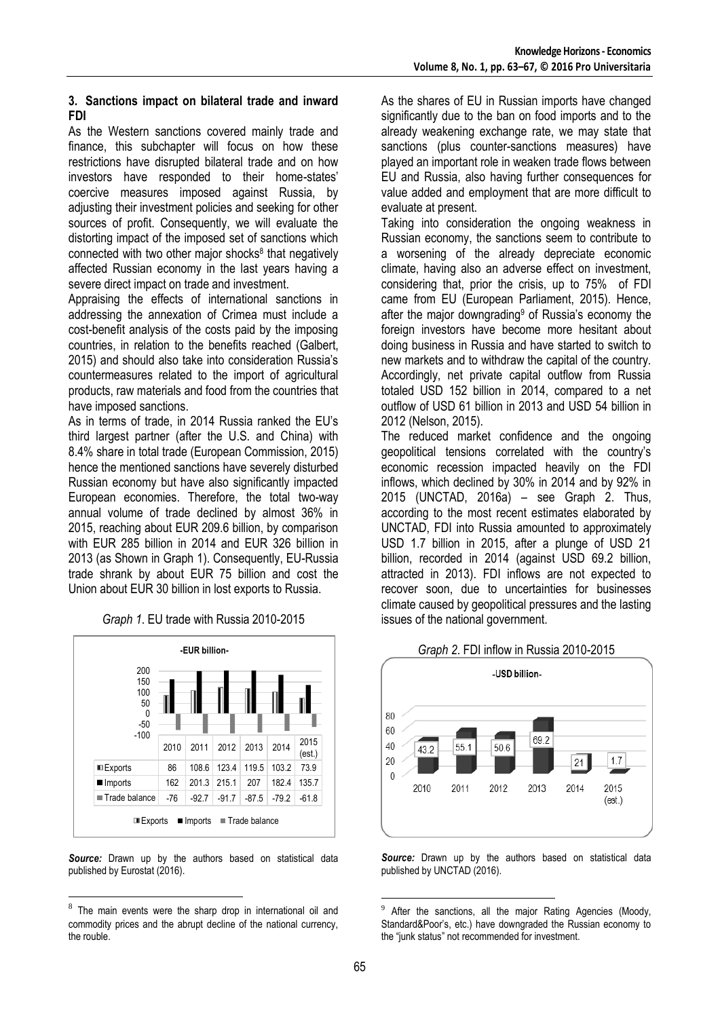#### **3. Sanctions impact on bilateral trade and inward FDI**

As the Western sanctions covered mainly trade and finance, this subchapter will focus on how these restrictions have disrupted bilateral trade and on how investors have responded to their home-states' coercive measures imposed against Russia, by adjusting their investment policies and seeking for other sources of profit. Consequently, we will evaluate the distorting impact of the imposed set of sanctions which connected with two other major shocks<sup>8</sup> that negatively affected Russian economy in the last years having a severe direct impact on trade and investment.

Appraising the effects of international sanctions in addressing the annexation of Crimea must include a cost-benefit analysis of the costs paid by the imposing countries, in relation to the benefits reached (Galbert, 2015) and should also take into consideration Russia's countermeasures related to the import of agricultural products, raw materials and food from the countries that have imposed sanctions.

As in terms of trade, in 2014 Russia ranked the EU's third largest partner (after the U.S. and China) with 8.4% share in total trade (European Commission, 2015) hence the mentioned sanctions have severely disturbed Russian economy but have also significantly impacted European economies. Therefore, the total two-way annual volume of trade declined by almost 36% in 2015, reaching about EUR 209.6 billion, by comparison with EUR 285 billion in 2014 and EUR 326 billion in 2013 (as Shown in Graph 1). Consequently, EU-Russia trade shrank by about EUR 75 billion and cost the Union about EUR 30 billion in lost exports to Russia.





*Source:* Drawn up by the authors based on statistical data published by Eurostat (2016).

1

As the shares of EU in Russian imports have changed significantly due to the ban on food imports and to the already weakening exchange rate, we may state that sanctions (plus counter-sanctions measures) have played an important role in weaken trade flows between EU and Russia, also having further consequences for value added and employment that are more difficult to evaluate at present.

Taking into consideration the ongoing weakness in Russian economy, the sanctions seem to contribute to a worsening of the already depreciate economic climate, having also an adverse effect on investment, considering that, prior the crisis, up to 75% of FDI came from EU (European Parliament, 2015). Hence, after the major downgrading<sup>9</sup> of Russia's economy the foreign investors have become more hesitant about doing business in Russia and have started to switch to new markets and to withdraw the capital of the country. Accordingly, net private capital outflow from Russia totaled USD 152 billion in 2014, compared to a net outflow of USD 61 billion in 2013 and USD 54 billion in 2012 (Nelson, 2015).

The reduced market confidence and the ongoing geopolitical tensions correlated with the country's economic recession impacted heavily on the FDI inflows, which declined by 30% in 2014 and by 92% in 2015 (UNCTAD, 2016a) – see Graph 2. Thus, according to the most recent estimates elaborated by UNCTAD, FDI into Russia amounted to approximately USD 1.7 billion in 2015, after a plunge of USD 21 billion, recorded in 2014 (against USD 69.2 billion, attracted in 2013). FDI inflows are not expected to recover soon, due to uncertainties for businesses climate caused by geopolitical pressures and the lasting issues of the national government.





*Source:* Drawn up by the authors based on statistical data published by UNCTAD (2016).

 $8$  The main events were the sharp drop in international oil and commodity prices and the abrupt decline of the national currency, the rouble.

**EXECUTE:**<br><sup>9</sup> After the sanctions, all the major Rating Agencies (Moody, Standard&Poor's, etc.) have downgraded the Russian economy to the "junk status" not recommended for investment.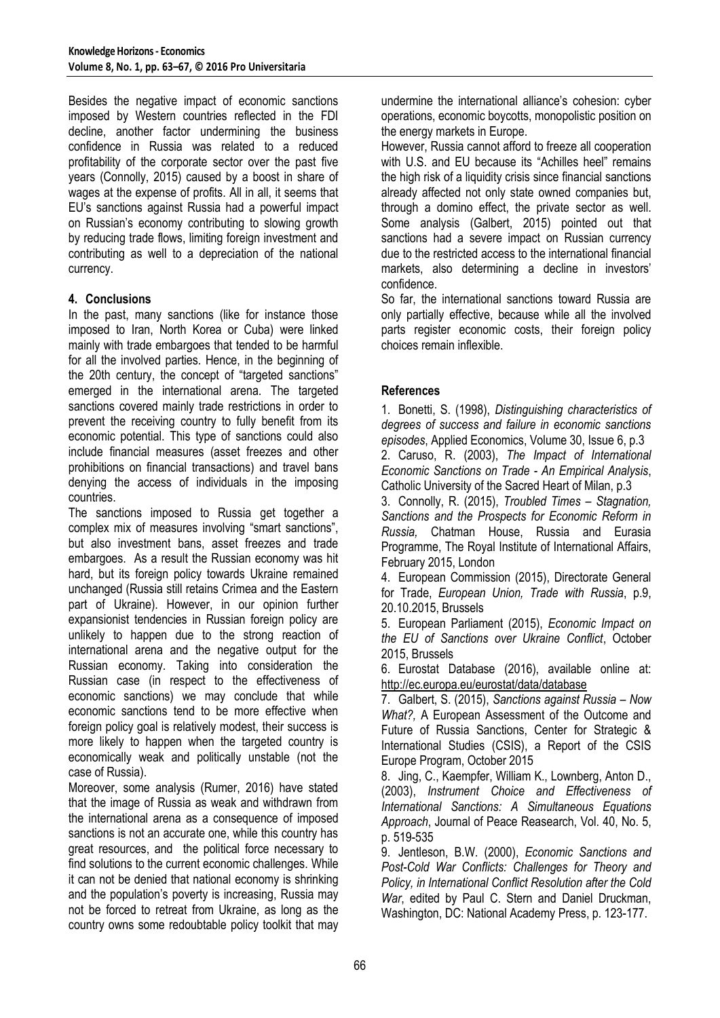Besides the negative impact of economic sanctions imposed by Western countries reflected in the FDI decline, another factor undermining the business confidence in Russia was related to a reduced profitability of the corporate sector over the past five years (Connolly, 2015) caused by a boost in share of wages at the expense of profits. All in all, it seems that EU's sanctions against Russia had a powerful impact on Russian's economy contributing to slowing growth by reducing trade flows, limiting foreign investment and contributing as well to a depreciation of the national currency.

# **4. Conclusions**

In the past, many sanctions (like for instance those imposed to Iran, North Korea or Cuba) were linked mainly with trade embargoes that tended to be harmful for all the involved parties. Hence, in the beginning of the 20th century, the concept of "targeted sanctions" emerged in the international arena. The targeted sanctions covered mainly trade restrictions in order to prevent the receiving country to fully benefit from its economic potential. This type of sanctions could also include financial measures (asset freezes and other prohibitions on financial transactions) and travel bans denying the access of individuals in the imposing countries.

The sanctions imposed to Russia get together a complex mix of measures involving "smart sanctions", but also investment bans, asset freezes and trade embargoes. As a result the Russian economy was hit hard, but its foreign policy towards Ukraine remained unchanged (Russia still retains Crimea and the Eastern part of Ukraine). However, in our opinion further expansionist tendencies in Russian foreign policy are unlikely to happen due to the strong reaction of international arena and the negative output for the Russian economy. Taking into consideration the Russian case (in respect to the effectiveness of economic sanctions) we may conclude that while economic sanctions tend to be more effective when foreign policy goal is relatively modest, their success is more likely to happen when the targeted country is economically weak and politically unstable (not the case of Russia).

Moreover, some analysis (Rumer, 2016) have stated that the image of Russia as weak and withdrawn from the international arena as a consequence of imposed sanctions is not an accurate one, while this country has great resources, and the political force necessary to find solutions to the current economic challenges. While it can not be denied that national economy is shrinking and the population's poverty is increasing, Russia may not be forced to retreat from Ukraine, as long as the country owns some redoubtable policy toolkit that may undermine the international alliance's cohesion: cyber operations, economic boycotts, monopolistic position on the energy markets in Europe.

However, Russia cannot afford to freeze all cooperation with U.S. and EU because its "Achilles heel" remains the high risk of a liquidity crisis since financial sanctions already affected not only state owned companies but, through a domino effect, the private sector as well. Some analysis (Galbert, 2015) pointed out that sanctions had a severe impact on Russian currency due to the restricted access to the international financial markets, also determining a decline in investors' confidence.

So far, the international sanctions toward Russia are only partially effective, because while all the involved parts register economic costs, their foreign policy choices remain inflexible.

# **References**

1. Bonetti, S. (1998), *Distinguishing characteristics of degrees of success and failure in economic sanctions episodes*, Applied Economics, Volume 30, Issue 6, p.3 2. Caruso, R. (2003), *The Impact of International Economic Sanctions on Trade - An Empirical Analysis*, Catholic University of the Sacred Heart of Milan, p.3

3. Connolly, R. (2015), *Troubled Times – Stagnation, Sanctions and the Prospects for Economic Reform in Russia,* Chatman House, Russia and Eurasia Programme, The Royal Institute of International Affairs, February 2015, London

4. European Commission (2015), Directorate General for Trade, *European Union, Trade with Russia*, p.9, 20.10.2015, Brussels

5. European Parliament (2015), *Economic Impact on the EU of Sanctions over Ukraine Conflict*, October 2015, Brussels

6. Eurostat Database (2016), available online at: <http://ec.europa.eu/eurostat/data/database>

7. Galbert, S. (2015), *Sanctions against Russia – Now What?,* A European Assessment of the Outcome and Future of Russia Sanctions, Center for Strategic & International Studies (CSIS), a Report of the CSIS Europe Program, October 2015

8. Jing, C., Kaempfer, William K., Lownberg, Anton D., (2003), *Instrument Choice and Effectiveness of International Sanctions: A Simultaneous Equations Approach*, Journal of Peace Reasearch, Vol. 40, No. 5, p. 519-535

9. Jentleson, B.W. (2000), *Economic Sanctions and Post-Cold War Conflicts: Challenges for Theory and Policy, in International Conflict Resolution after the Cold War*, edited by Paul C. Stern and Daniel Druckman, Washington, DC: National Academy Press, p. 123-177.